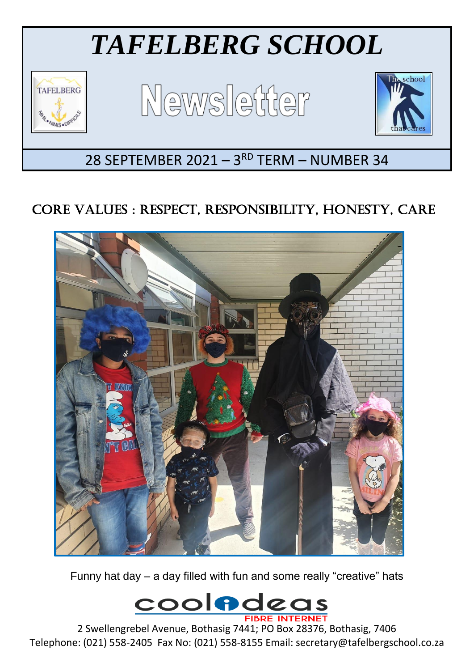

# CORE VALUES : RESPECT, RESPONSIBILITY, HONESTY, CARE



Funny hat day – a day filled with fun and some really "creative" hats

**cooladeas** 

2 Swellengrebel Avenue, Bothasig 7441; PO Box 28376, Bothasig, 7406 Telephone: (021) 558-2405 Fax No: (021) 558-8155 Email: secretary@tafelbergschool.co.za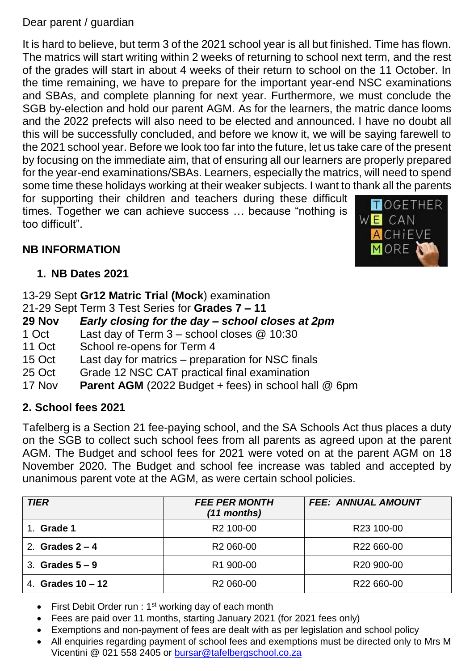#### Dear parent / guardian

It is hard to believe, but term 3 of the 2021 school year is all but finished. Time has flown. The matrics will start writing within 2 weeks of returning to school next term, and the rest of the grades will start in about 4 weeks of their return to school on the 11 October. In the time remaining, we have to prepare for the important year-end NSC examinations and SBAs, and complete planning for next year. Furthermore, we must conclude the SGB by-election and hold our parent AGM. As for the learners, the matric dance looms and the 2022 prefects will also need to be elected and announced. I have no doubt all this will be successfully concluded, and before we know it, we will be saying farewell to the 2021 school year. Before we look too far into the future, let us take care of the present by focusing on the immediate aim, that of ensuring all our learners are properly prepared for the year-end examinations/SBAs. Learners, especially the matrics, will need to spend some time these holidays working at their weaker subjects. I want to thank all the parents

for supporting their children and teachers during these difficult times. Together we can achieve success … because "nothing is too difficult".

## **NB INFORMATION**

**1. NB Dates 2021**

13-29 Sept **Gr12 Matric Trial (Mock**) examination

21-29 Sept Term 3 Test Series for **Grades 7 – 11**

**29 Nov** *Early closing for the day – school closes at 2pm*

- 1 Oct Last day of Term 3 school closes @ 10:30
- 11 Oct School re-opens for Term 4
- 15 Oct Last day for matrics preparation for NSC finals
- 25 Oct Grade 12 NSC CAT practical final examination
- 17 Nov **Parent AGM** (2022 Budget + fees) in school hall @ 6pm

# **2. School fees 2021**

Tafelberg is a Section 21 fee-paying school, and the SA Schools Act thus places a duty on the SGB to collect such school fees from all parents as agreed upon at the parent AGM. The Budget and school fees for 2021 were voted on at the parent AGM on 18 November 2020. The Budget and school fee increase was tabled and accepted by unanimous parent vote at the AGM, as were certain school policies.

| <b>TIER</b>         | <b>FEE PER MONTH</b><br>$(11$ months) | <b>FEE: ANNUAL AMOUNT</b> |
|---------------------|---------------------------------------|---------------------------|
| Grade 1             | R <sub>2</sub> 100-00                 | R23 100-00                |
| 2. Grades $2 - 4$   | R <sub>2</sub> 060-00                 | R22 660-00                |
| 3. Grades $5-9$     | R1 900-00                             | R <sub>20</sub> 900-00    |
| 4. Grades $10 - 12$ | R <sub>2</sub> 060-00                 | R <sub>22</sub> 660-00    |

- First Debit Order run :  $1<sup>st</sup>$  working day of each month
- Fees are paid over 11 months, starting January 2021 (for 2021 fees only)
- Exemptions and non-payment of fees are dealt with as per legislation and school policy
- All enquiries regarding payment of school fees and exemptions must be directed only to Mrs M Vicentini @ 021 558 2405 or [bursar@tafelbergschool.co.za](mailto:bursar@tafelbergschool.co.za)

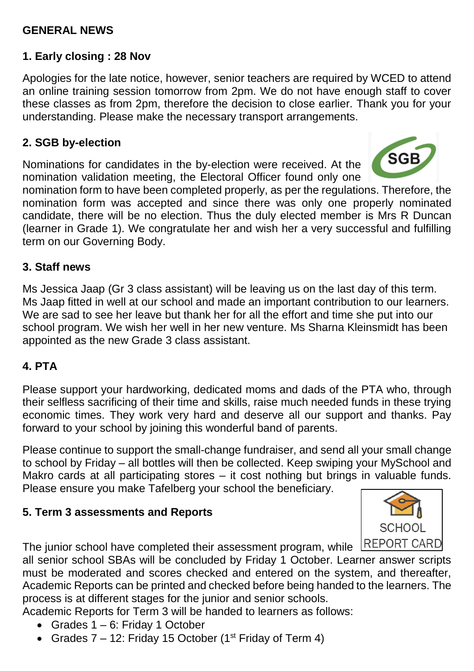#### **GENERAL NEWS**

#### **1. Early closing : 28 Nov**

Apologies for the late notice, however, senior teachers are required by WCED to attend an online training session tomorrow from 2pm. We do not have enough staff to cover these classes as from 2pm, therefore the decision to close earlier. Thank you for your understanding. Please make the necessary transport arrangements.

#### **2. SGB by-election**

Nominations for candidates in the by-election were received. At the nomination validation meeting, the Electoral Officer found only one



nomination form to have been completed properly, as per the regulations. Therefore, the nomination form was accepted and since there was only one properly nominated candidate, there will be no election. Thus the duly elected member is Mrs R Duncan (learner in Grade 1). We congratulate her and wish her a very successful and fulfilling term on our Governing Body.

#### **3. Staff news**

Ms Jessica Jaap (Gr 3 class assistant) will be leaving us on the last day of this term. Ms Jaap fitted in well at our school and made an important contribution to our learners. We are sad to see her leave but thank her for all the effort and time she put into our school program. We wish her well in her new venture. Ms Sharna Kleinsmidt has been appointed as the new Grade 3 class assistant.

#### **4. PTA**

Please support your hardworking, dedicated moms and dads of the PTA who, through their selfless sacrificing of their time and skills, raise much needed funds in these trying economic times. They work very hard and deserve all our support and thanks. Pay forward to your school by joining this wonderful band of parents.

Please continue to support the small-change fundraiser, and send all your small change to school by Friday – all bottles will then be collected. Keep swiping your MySchool and Makro cards at all participating stores – it cost nothing but brings in valuable funds. Please ensure you make Tafelberg your school the beneficiary.

#### **5. Term 3 assessments and Reports**



all senior school SBAs will be concluded by Friday 1 October. Learner answer scripts must be moderated and scores checked and entered on the system, and thereafter, Academic Reports can be printed and checked before being handed to the learners. The

process is at different stages for the junior and senior schools.

Academic Reports for Term 3 will be handed to learners as follows:

- Grades  $1 6$ : Friday 1 October
- Grades  $7 12$ : Friday 15 October (1<sup>st</sup> Friday of Term 4)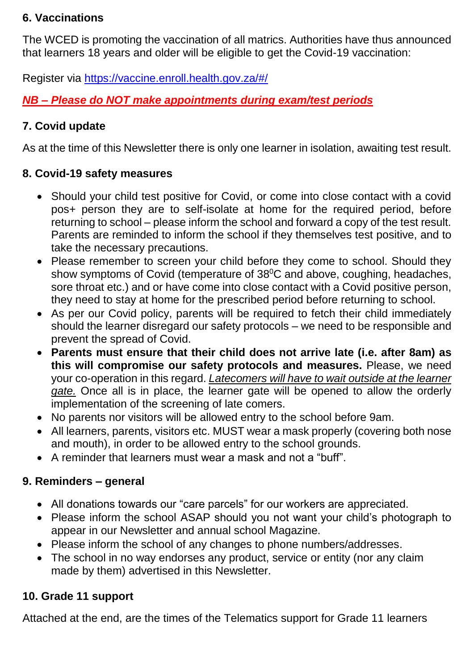#### **6. Vaccinations**

The WCED is promoting the vaccination of all matrics. Authorities have thus announced that learners 18 years and older will be eligible to get the Covid-19 vaccination:

Register via <https://vaccine.enroll.health.gov.za/#/>

*NB – Please do NOT make appointments during exam/test periods*

## **7. Covid update**

As at the time of this Newsletter there is only one learner in isolation, awaiting test result.

#### **8. Covid-19 safety measures**

- Should your child test positive for Covid, or come into close contact with a covid pos+ person they are to self-isolate at home for the required period, before returning to school – please inform the school and forward a copy of the test result. Parents are reminded to inform the school if they themselves test positive, and to take the necessary precautions.
- Please remember to screen your child before they come to school. Should they show symptoms of Covid (temperature of 38<sup>0</sup>C and above, coughing, headaches, sore throat etc.) and or have come into close contact with a Covid positive person, they need to stay at home for the prescribed period before returning to school.
- As per our Covid policy, parents will be required to fetch their child immediately should the learner disregard our safety protocols – we need to be responsible and prevent the spread of Covid.
- **Parents must ensure that their child does not arrive late (i.e. after 8am) as this will compromise our safety protocols and measures.** Please, we need your co-operation in this regard. *Latecomers will have to wait outside at the learner gate.* Once all is in place, the learner gate will be opened to allow the orderly implementation of the screening of late comers.
- No parents nor visitors will be allowed entry to the school before 9am.
- All learners, parents, visitors etc. MUST wear a mask properly (covering both nose and mouth), in order to be allowed entry to the school grounds.
- A reminder that learners must wear a mask and not a "buff".

#### **9. Reminders – general**

- All donations towards our "care parcels" for our workers are appreciated.
- Please inform the school ASAP should you not want your child's photograph to appear in our Newsletter and annual school Magazine.
- Please inform the school of any changes to phone numbers/addresses.
- The school in no way endorses any product, service or entity (nor any claim made by them) advertised in this Newsletter.

# **10. Grade 11 support**

Attached at the end, are the times of the Telematics support for Grade 11 learners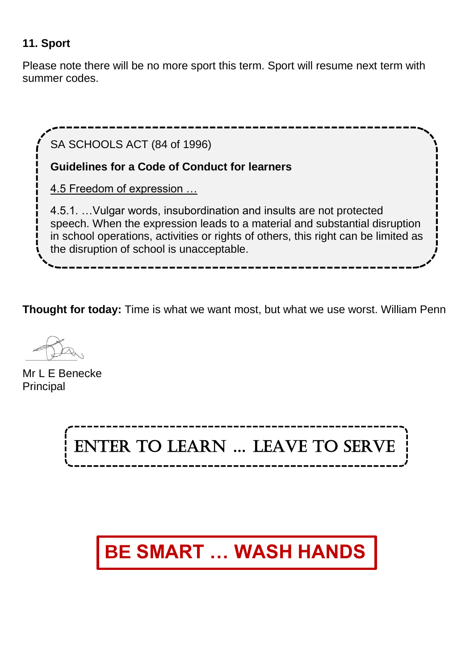#### **11. Sport**

Please note there will be no more sport this term. Sport will resume next term with summer codes.



**Thought for today:** Time is what we want most, but what we use worst. William Penn

Mr L F Benecke **Principal** 



# **BE SMART … WASH HANDS**